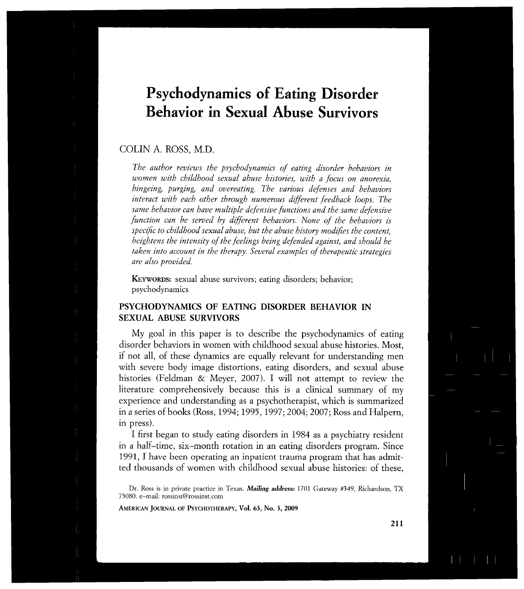# **Psychodynamics of Eating Disorder Behavior in Sexual Abuse Survivors**

# COLIN A. ROSS, M.D.

*The author reviews the psychodynamics of eating disorder behaviors in women with childhood sexual abuse histories, with a focus on anorexia, bingeing, purging, and overeating. The various defenses and behaviors interact with each other through numerous different feedback loops. The same behavior can have multiple defensive functions and the same defensive function can be sewed by different behaviors. None of the behaviors is specific to childhood sexual abuse, but the abuse history modifies the content, heightens the intensity of the feelings being defended against, and should be taken into account in the therapy. Several examples of therapeutic strategies are also provided.* 

**KEYWORDS**: sexual abuse survivors; eating disorders; behavior; psychodynamics

## **PSYCHODYNAMICS OF EATING DISORDER BEHAVIOR IN SEXUAL ABUSE SURVIVORS**

My goal in this paper is to describe the psychodynamics of eating disorder behaviors in women with childhood sexual abuse histories. Most, if not all, of these dynamics are equally relevant for understanding men with severe body image distortions, eating disorders, and sexual abuse histories (Feldman & Meyer, 2007). I will not attempt to review the literature comprehensively because this is a clinical summary of my experience and understanding as a psychotherapist, which is summarized in a series of books (Ross, 1994; 1995,1997; 2004; 2007; Ross and Halpern, in press).

I first began to study eating disorders in 1984 as a psychiatry resident in a half-time, six-month rotation in an eating disorders program. Since 1991, I have been operating an inpatient trauma program that has admitted thousands of women with childhood sexual abuse histories: of these,

**AMERICA N JOURNA L O F PSYCHOTHERAPY , Vol. 63 , No. 3 , 200 9** 

Dr. Ross is in private practice in Texas. *Mailing address:* 1701 Gateway #349, Richardson, TX 75080. e-mail: [rossinst@rossinst.com](mailto:rossinst@rossinst.com)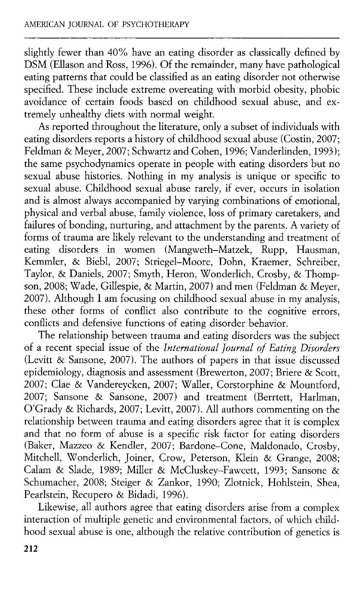slightly fewer than 40% have an eating disorder as classically defined by DSM (Ellason and Ross, 1996). Of the remainder, many have pathological eating patterns that could be classified as an eating disorder not otherwise specified. These include extreme overeating with morbid obesity, phobic avoidance of certain foods based on childhood sexual abuse, and extremely unhealthy diets with normal weight.

As reported throughout the literature, only a subset of individuals with eating disorders reports a history of childhood sexual abuse (Costin, 2007; Feldman & Meyer, 2007; Schwartz and Cohen, 1996; Vanderlinden, 1993); the same psychodynamics operate in people with eating disorders but no sexual abuse histories. Nothing in my analysis is unique or specific to sexual abuse. Childhood sexual abuse rarely, if ever, occurs in isolation and is almost always accompanied by varying combinations of emotional, physical and verbal abuse, family violence, loss of primary caretakers, and failures of bonding, nurturing, and attachment by the parents. A variety of forms of trauma are likely relevant to the understanding and treatment of eating disorders in women (Mangweth-Matzek, Rupp, Hausman, Kemmler, & Biebl, 2007; Striegel-Moore, Dohn, Kraemer, Schreiber, Taylor, & Daniels, 2007; Smyth, Heron, Wonderlich, Crosby, & Thompson, 2008; Wade, Gillespie, & Martin, 2007) and men (Feldman & Meyer, 2007). Although I am focusing on childhood sexual abuse in my analysis, these other forms of conflict also contribute to the cognitive errors, conflicts and defensive functions of eating disorder behavior.

The relationship between trauma and eating disorders was the subject of a recent special issue of the *International Journal of Eating Disorders*  (Levitt & Sansone, 2007). The authors of papers in that issue discussed epidemiology, diagnosis and assessment (Brewerton, 2007; Briere & Scott, 2007; Clae & Vandereycken, 2007; Waller, Corstorphine & Mountford, 2007; Sansone & Sansone, 2007) and treatment (Berrtett, Harlman, O'Grady & Richards, 2007; Levitt, 2007). All authors commenting on the relationship between trauma and eating disorders agree that it is complex and that no form of abuse is a specific risk factor for eating disorders (Baker, Mazzeo & Kendler, 2007; Bardone-Cone, Maldonado, Crosby, Mitchell, Wonderlich, Joiner, Crow, Peterson, Klein & Grange, 2008; Calam & Slade, 1989; Miller & McCluskey-Fawcett, 1993; Sansone & Schumacher, 2008; Steiger & Zankor, 1990; Zlotnick, Hohlstein, Shea, Pearlstein, Recupero & Bidadi, 1996).

Likewise, all authors agree that eating disorders arise from a complex interaction of multiple genetic and environmental factors, of which childhood sexual abuse is one, although the relative contribution of genetics is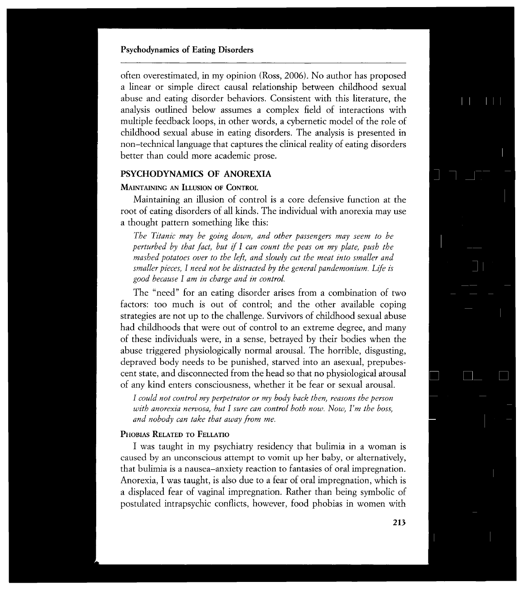often overestimated, in my opinion (Ross, 2006). No author has proposed a linear or simple direct causal relationship between childhood sexual abuse and eating disorder behaviors. Consistent with this literature, the analysis outlined below assumes a complex field of interactions with multiple feedback loops, in other words, a cybernetic model of the role of childhood sexual abuse in eating disorders. The analysis is presented in non-technical language that captures the clinical reality of eating disorders better than could more academic prose.

## **PSYCHODYNAMICS OF ANOREXIA**

## **MAINTAINING AN ILLUSION OF CONTROL**

Maintaining an illusion of control is a core defensive function at the root of eating disorders of all kinds. The individual with anorexia may use a thought pattern something like this:

*The Titanic may he going down, and other passengers may seem to he perturbed by that fact, but if I can count the peas on my plate, push the mashed potatoes over to the left, and slowly cut the meat into smaller and smaller pieces, I need not be distracted by the general pandemonium. Life is good because I am in charge and in control.* 

The "need" for an eating disorder arises from a combination of two factors: too much is out of control; and the other available coping strategies are not up to the challenge. Survivors of childhood sexual abuse had childhoods that were out of control to an extreme degree, and many of these individuals were, in a sense, betrayed by their bodies when the abuse triggered physiologically normal arousal. The horrible, disgusting, depraved body needs to be punished, starved into an asexual, prepubescent state, and disconnected from the head so that no physiological arousal of any kind enters consciousness, whether it be fear or sexual arousal.

*I could not control my perpetrator or my body back then, reasons the person with anorexia nervosa, but I sure can control both now. Now, Ym the boss, and nobody can take that away from me.* 

#### **PHOBIAS RELATED TO FELLATIO**

I was taught in my psychiatry residency that bulimia in a woman is caused by an unconscious attempt to vomit up her baby, or alternatively, that bulimia is a nausea-anxiety reaction to fantasies of oral impregnation. Anorexia, I was taught, is also due to a fear of oral impregnation, which is a displaced fear of vaginal impregnation. Rather than being symbolic of postulated intrapsychic conflicts, however, food phobias in women with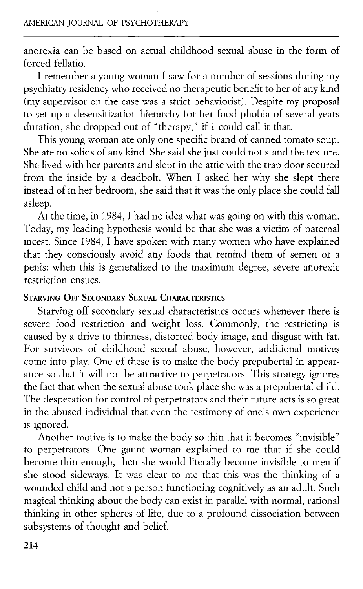anorexia can be based on actual childhood sexual abuse in the form of forced fellatio.

I remember a young woman I saw for a number of sessions during my psychiatry residency who received no therapeutic benefit to her of any kind (my supervisor on the case was a strict behaviorist). Despite my proposal to set up a desensitization hierarchy for her food phobia of several years duration, she dropped out of "therapy," if I could call it that.

This young woman ate only one specific brand of canned tomato soup. She ate no solids of any kind. She said she just could not stand the texture. She lived with her parents and slept in the attic with the trap door secured from the inside by a deadbolt. When I asked her why she slept there instead of in her bedroom, she said that it was the only place she could fall asleep.

At the time, in 1984, I had no idea what was going on with this woman. Today, my leading hypothesis would be that she was a victim of paternal incest. Since 1984, I have spoken with many women who have explained that they consciously avoid any foods that remind them of semen or a penis: when this is generalized to the maximum degree, severe anorexic restriction ensues.

## **STARVING OFF SECONDARY SEXUAL CHARACTERISTICS**

Starving off secondary sexual characteristics occurs whenever there is severe food restriction and weight loss. Commonly, the restricting is caused by a drive to thinness, distorted body image, and disgust with fat. For survivors of childhood sexual abuse, however, additional motives come into play. One of these is to make the body prepubertal in appearance so that it will not be attractive to perpetrators. This strategy ignores the fact that when the sexual abuse took place she was a prepubertal child. The desperation for control of perpetrators and their future acts is so great in the abused individual that even the testimony of one's own experience is ignored.

Another motive is to make the body so thin that it becomes "invisible" to perpetrators. One gaunt woman explained to me that if she could become thin enough, then she would literally become invisible to men if she stood sideways. It was clear to me that this was the thinking of a wounded child and not a person functioning cognitively as an adult. Such magical thinking about the body can exist in parallel with normal, rational thinking in other spheres of life, due to a profound dissociation between subsystems of thought and belief.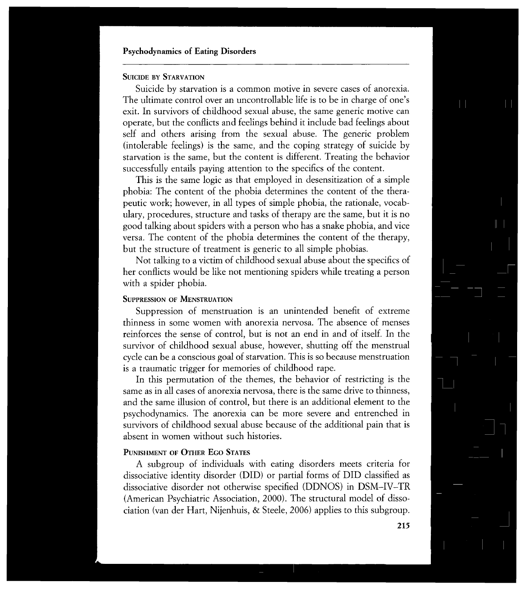## **SUICIDE BY STARVATION**

Suicide by starvation is a common motive in severe cases of anorexia. The ultimate control over an uncontrollable life is to be in charge of one's exit. In survivors of childhood sexual abuse, the same generic motive can operate, but the conflicts and feelings behind it include bad feelings about self and others arising from the sexual abuse. The generic problem (intolerable feelings) is the same, and the coping strategy of suicide by starvation is the same, but the content is different. Treating the behavior successfully entails paying attention to the specifics of the content.

This is the same logic as that employed in desensitization of a simple phobia: The content of the phobia determines the content of the therapeutic work; however, in all types of simple phobia, the rationale, vocabulary, procedures, structure and tasks of therapy are the same, but it is no good talking about spiders with a person who has a snake phobia, and vice versa. The content of the phobia determines the content of the therapy, but the structure of treatment is generic to all simple phobias.

Not talking to a victim of childhood sexual abuse about the specifics of her conflicts would be like not mentioning spiders while treating a person with a spider phobia.

#### **SUPPRESSION OF MENSTRUATION**

Suppression of menstruation is an unintended benefit of extreme thinness in some women with anorexia nervosa. The absence of menses reinforces the sense of control, but is not an end in and of itself. In the survivor of childhood sexual abuse, however, shutting off the menstrual cycle can be a conscious goal of starvation. This is so because menstruation is a traumatic trigger for memories of childhood rape.

In this permutation of the themes, the behavior of restricting is the same as in all cases of anorexia nervosa, there is the same drive to thinness, and the same illusion of control, but there is an additional element to the psychodynamics. The anorexia can be more severe and entrenched in survivors of childhood sexual abuse because of the additional pain that is absent in women without such histories.

## **PUNISHMENT OF OTHER EGO STATES**

A subgroup of individuals with eating disorders meets criteria for dissociative identity disorder (DID) or partial forms of DID classified as dissociative disorder not otherwise specified (DDNOS) in DSM-IV-TR (American Psychiatric Association, 2000). The structural model of dissociation (van der Hart, Nijenhuis, & Steele, 2006) applies to this subgroup.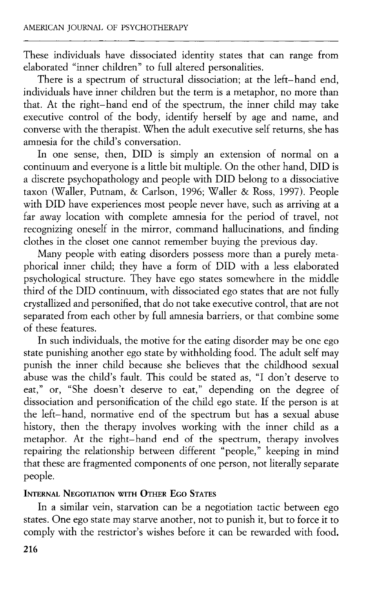These individuals have dissociated identity states that can range from elaborated "inner children" to full altered personalities.

There is a spectrum of structural dissociation; at the left-hand end, individuals have inner children but the term is a metaphor, no more than that. At the right-hand end of the spectrum, the inner child may take executive control of the body, identify herself by age and name, and converse with the therapist. When the adult executive self returns, she has amnesia for the child's conversation.

In one sense, then, DID is simply an extension of normal on a continuum and everyone is a little bit multiple. On the other hand, DID is a discrete psychopathology and people with DID belong to a dissociative taxon (Waller, Putnam, & Carlson, 1996; Waller & Ross, 1997). People with DID have experiences most people never have, such as arriving at a far away location with complete amnesia for the period of travel, not recognizing oneself in the mirror, command hallucinations, and finding clothes in the closet one cannot remember buying the previous day.

Many people with eating disorders possess more than a purely metaphorical inner child; they have a form of DID with a less elaborated psychological structure. They have ego states somewhere in the middle third of the DID continuum, with dissociated ego states that are not fully crystallized and personified, that do not take executive control, that are not separated from each other by full amnesia barriers, or that combine some of these features.

In such individuals, the motive for the eating disorder may be one ego state punishing another ego state by withholding food. The adult self may punish the inner child because she believes that the childhood sexual abuse was the child's fault. This could be stated as, "I don't deserve to eat," or, "She doesn't deserve to eat," depending on the degree of dissociation and personification of the child ego state. If the person is at the left-hand, normative end of the spectrum but has a sexual abuse history, then the therapy involves working with the inner child as a metaphor. At the right-hand end of the spectrum, therapy involves repairing the relationship between different "people," keeping in mind that these are fragmented components of one person, not literally separate people.

# **INTERNAL NEGOTIATION WITH OTHER EGO STATES**

In a similar vein, starvation can be a negotiation tactic between ego states. One ego state may starve another, not to punish it, but to force it to comply with the restrictor's wishes before it can be rewarded with food.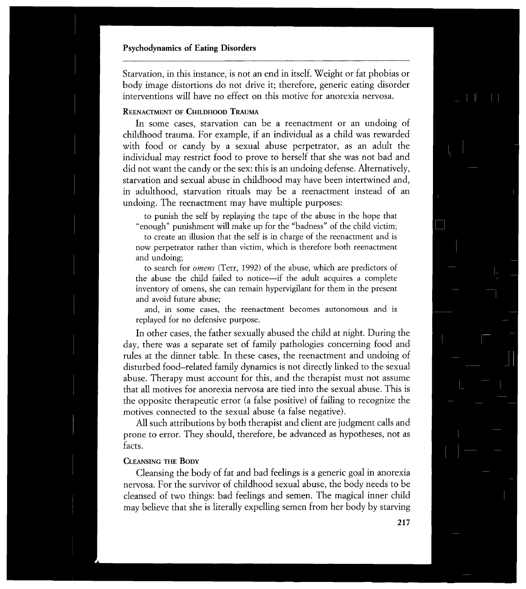Starvation, in this instance, is not an end in itself. Weight or fat phobias or body image distortions do not drive it; therefore, generic eating disorder interventions will have no effect on this motive for anorexia nervosa.

#### **REENACTMENT OF CHILDHOOD TRAUMA**

In some cases, starvation can be a reenactment or an undoing of childhood trauma. For example, if an individual as a child was rewarded with food or candy by a sexual abuse perpetrator, as an adult the individual may restrict food to prove to herself that she was not bad and did not want the candy or the sex: this is an undoing defense. Alternatively, starvation and sexual abuse in childhood may have been intertwined and, in adulthood, starvation rituals may be a reenactment instead of an undoing. The reenactment may have multiple purposes:

to punish the self by replaying the tape of the abuse in the hope that "enough" punishment will make up for the "badness" of the child victim;

to create an illusion that the self is in charge of the reenactment and is now perpetrator rather than victim, which is therefore both reenactment and undoing;

to search for *omens* (Terr, 1992) of the abuse, which are predictors of the abuse the child failed to notice—if the adult acquires a complete inventory of omens, she can remain hypervigilant for them in the present and avoid future abuse;

and, in some cases, the reenactment becomes autonomous and is replayed for no defensive purpose.

In other cases, the father sexually abused the child at night. During the day, there was a separate set of family pathologies concerning food and rules at the dinner table. In these cases, the reenactment and undoing of disturbed food-related family dynamics is not directly linked to the sexual abuse. Therapy must account for this, and the therapist must not assume that all motives for anorexia nervosa are tied into the sexual abuse. This is the opposite therapeutic error (a false positive) of failing to recognize the motives connected to the sexual abuse (a false negative).

All such attributions by both therapist and client are judgment calls and prone to error. They should, therefore, be advanced as hypotheses, not as facts.

#### **CLEANSING THE BODY**

Cleansing the body of fat and bad feelings is a generic goal in anorexia nervosa. For the survivor of childhood sexual abuse, the body needs to be cleansed of two things: bad feelings and semen. The magical inner child may believe that she is literally expelling semen from her body by starving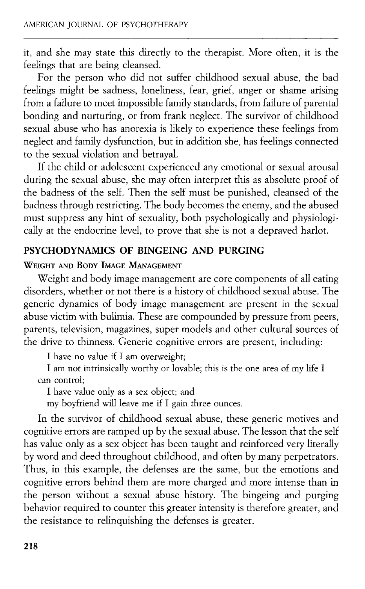it, and she may state this directly to the therapist. More often, it is the feelings that are being cleansed.

For the person who did not suffer childhood sexual abuse, the bad feelings might be sadness, loneliness, fear, grief, anger or shame arising from a failure to meet impossible family standards, from failure of parental bonding and nurturing, or from frank neglect. The survivor of childhood sexual abuse who has anorexia is likely to experience these feelings from neglect and family dysfunction, but in addition she, has feelings connected to the sexual violation and betrayal.

If the child or adolescent experienced any emotional or sexual arousal during the sexual abuse, she may often interpret this as absolute proof of the badness of the self. Then the self must be punished, cleansed of the badness through restricting. The body becomes the enemy, and the abused must suppress any hint of sexuality, both psychologically and physiologically at the endocrine level, to prove that she is not a depraved harlot.

# **PSYCHODYNAMICS OF BINGEING AND PURGING**

## **WEIGHT AND BODY IMAGE MANAGEMENT**

Weight and body image management are core components of all eating disorders, whether or not there is a history of childhood sexual abuse. The generic dynamics of body image management are present in the sexual abuse victim with bulimia. These are compounded by pressure from peers, parents, television, magazines, super models and other cultural sources of the drive to thinness. Generic cognitive errors are present, including:

**<sup>I</sup>** have no value if **I** am overweight;

**<sup>I</sup>** am not intrinsically worthy or lovable; this is the one area of my life **I**  can control;

**<sup>I</sup>** have value only as a sex object; and

my boyfriend will leave me if **I** gain three ounces.

In the survivor of childhood sexual abuse, these generic motives and cognitive errors are ramped up by the sexual abuse. The lesson that the self has value only as a sex object has been taught and reinforced very literally by word and deed throughout childhood, and often by many perpetrators. Thus, in this example, the defenses are the same, but the emotions and cognitive errors behind them are more charged and more intense than in the person without a sexual abuse history. The bingeing and purging behavior required to counter this greater intensity is therefore greater, and the resistance to relinquishing the defenses is greater.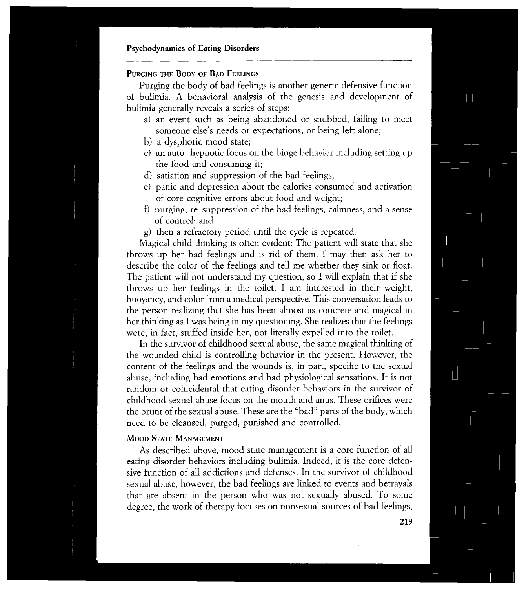## **PURGING THE BODY OF BAD FEELINGS**

Purging the body of bad feelings is another generic defensive function of bulimia. A behavioral analysis of the genesis and development of bulimia generally reveals a series of steps:

- a) an event such as being abandoned or snubbed, failing to meet someone else's needs or expectations, or being left alone;
- b) a dysphoric mood state;
- c) an auto-hypnotic focus on the binge behavior including setting up the food and consuming it;
- d) satiation and suppression of the bad feelings;
- e) panic and depression about the calories consumed and activation of core cognitive errors about food and weight;
- f) purging; re-suppression of the bad feelings, calmness, and a sense of control; and
- g) then a refractory period until the cycle is repeated.

Magical child thinking is often evident: The patient will state that she throws up her bad feelings and is rid of them. I may then ask her to describe the color of the feelings and tell me whether they sink or float. The patient will not understand my question, so I will explain that if she throws up her feelings in the toilet, I am interested in their weight, buoyancy, and color from a medical perspective. This conversation leads to the person realizing that she has been almost as concrete and magical in her thinking as I was being in my questioning. She realizes that the feelings were, in fact, stuffed inside her, not literally expelled into the toilet.

In the survivor of childhood sexual abuse, the same magical thinking of the wounded child is controlling behavior in the present. However, the content of the feelings and the wounds is, in part, specific to the sexual abuse, including bad emotions and bad physiological sensations. It is not random or coincidental that eating disorder behaviors in the survivor of childhood sexual abuse focus on the mouth and anus. These orifices were the brunt of the sexual abuse. These are the "bad" parts of the body, which need to be cleansed, purged, punished and controlled.

#### **MOOD STATE MANAGEMENT**

As described above, mood state management is a core function of all eating disorder behaviors including bulimia. Indeed, it is the core defensive function of all addictions and defenses. In the survivor of childhood sexual abuse, however, the bad feelings are linked to events and betrayals that are absent in the person who was not sexually abused. To some degree, the work of therapy focuses on nonsexual sources of bad feelings,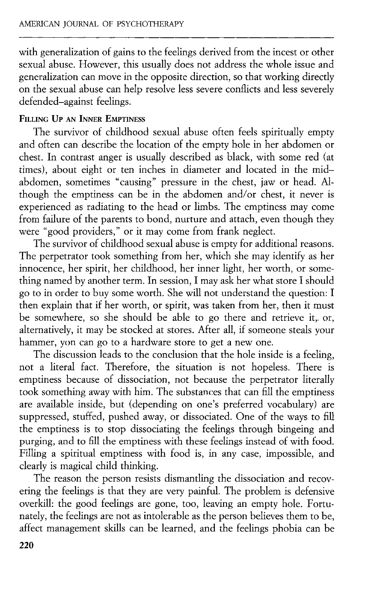with generalization of gains to the feelings derived from the incest or other sexual abuse. However, this usually does not address the whole issue and generalization can move in the opposite direction, so that working directly on the sexual abuse can help resolve less severe conflicts and less severely defended-against feelings.

## **FILLING UP AN INNER EMPTINESS**

The survivor of childhood sexual abuse often feels spiritually empty and often can describe the location of the empty hole in her abdomen or chest. In contrast anger is usually described as black, with some red (at times), about eight or ten inches in diameter and located in the midabdomen, sometimes "causing" pressure in the chest, jaw or head. Although the emptiness can be in the abdomen and/or chest, it never is experienced as radiating to the head or limbs. The emptiness may come from failure of the parents to bond, nurture and attach, even though they were "good providers," or it may come from frank neglect.

The survivor of childhood sexual abuse is empty for additional reasons. The perpetrator took something from her, which she may identify as her innocence, her spirit, her childhood, her inner light, her worth, or something named by another term. In session, I may ask her what store I should go to in order to buy some worth. She will not understand the question: I then explain that if her worth, or spirit, was taken from her, then it must be somewhere, so she should be able to go there and retrieve it, or, alternatively, it may be stocked at stores. After all, if someone steals your hammer, yon can go to a hardware store to get a new one.

The discussion leads to the conclusion that the hole inside is a feeling, not a literal fact. Therefore, the situation is not hopeless. There is emptiness because of dissociation, not because the perpetrator literally took something away with him. The substances that can fill the emptiness are available inside, but (depending on one's preferred vocabulary) are suppressed, stuffed, pushed away, or dissociated. One of the ways to fill the emptiness is to stop dissociating the feelings through bingeing and purging, and to fill the emptiness with these feelings instead of with food. Filling a spiritual emptiness with food is, in any case, impossible, and clearly is magical child thinking.

The reason the person resists dismantling the dissociation and recovering the feelings is that they are very painful. The problem is defensive overkill: the good feelings are gone, too, leaving an empty hole. Fortunately, the feelings are not as intolerable as the person believes them to be, affect management skills can be learned, and the feelings phobia can be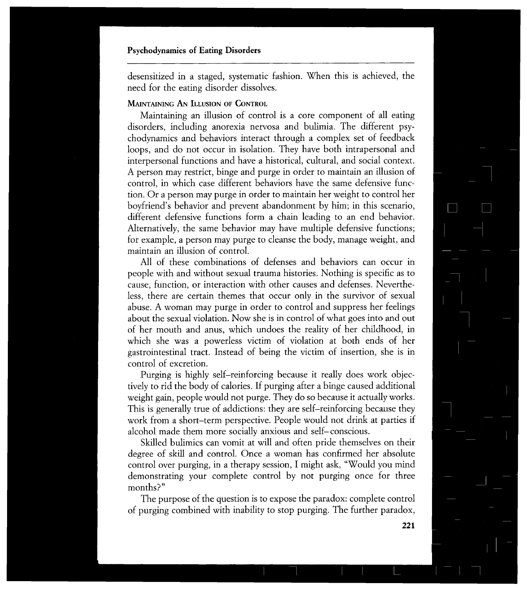desensitized in a staged, systematic fashion. When this is achieved, the need for the eating disorder dissolves.

# **MAINTAINING AN ILLUSION OF CONTROL**

Maintaining an illusion of control is a core component of all eating disorders, including anorexia nervosa and bulimia. The different psychodynamics and behaviors interact through a complex set of feedback loops, and do not occur in isolation. They have both intrapersonal and interpersonal functions and have a historical, cultural, and social context. A person may restrict, binge and purge in order to maintain an illusion of control, in which case different behaviors have the same defensive function. Or a person may purge in order to maintain her weight to control her boyfriend's behavior and prevent abandonment by him; in this scenario, different defensive functions form a chain leading to an end behavior. Alternatively, the same behavior may have multiple defensive functions; for example, a person may purge to cleanse the body, manage weight, and maintain an illusion of control.

All of these combinations of defenses and behaviors can occur in people with and without sexual trauma histories. Nothing is specific as to cause, function, or interaction with other causes and defenses. Nevertheless, there are certain themes that occur only in the survivor of sexual abuse. A woman may purge in order to control and suppress her feelings about the sexual violation. Now she is in control of what goes into and out of her mouth and anus, which undoes the reality of her childhood, in which she was a powerless victim of violation at both ends of her gastrointestinal tract. Instead of being the victim of insertion, she is in control of excretion.

Purging is highly self-reinforcing because it really does work objectively to rid the body of calories. If purging after a binge caused additional weight gain, people would not purge. They do so because it actually works. This is generally true of addictions: they are self-reinforcing because they work from a short-term perspective. People would not drink at parties if alcohol made them more socially anxious and self-conscious.

Skilled bulimics can vomit at will and often pride themselves on their degree of skill and control. Once a woman has confirmed her absolute control over purging, in a therapy session, I might ask, "Would you mind demonstrating your complete control by not purging once for three months?"

The purpose of the question is to expose the paradox: complete control of purging combined with inability to stop purging. The further paradox,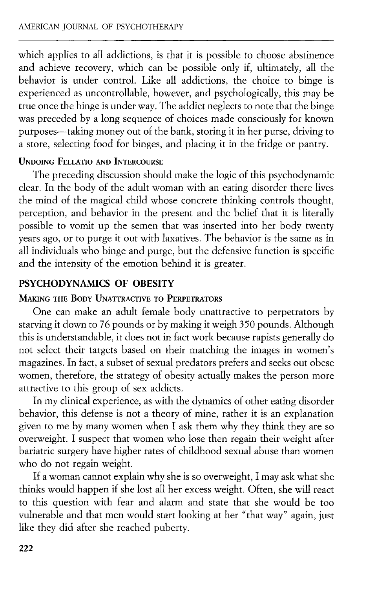which applies to all addictions, is that it is possible to choose abstinence and achieve recovery, which can be possible only if, ultimately, all the behavior is under control. Like all addictions, the choice to binge is experienced as uncontrollable, however, and psychologically, this may be true once the binge is under way. The addict neglects to note that the binge was preceded by a long sequence of choices made consciously for known purposes—taking money out of the bank, storing it in her purse, driving to a store, selecting food for binges, and placing it in the fridge or pantry.

## **UNDOING FELLATIO AND INTERCOURSE**

The preceding discussion should make the logic of this psychodynamic clear. In the body of the adult woman with an eating disorder there lives the mind of the magical child whose concrete thinking controls thought, perception, and behavior in the present and the belief that it is literally possible to vomit up the semen that was inserted into her body twenty years ago, or to purge it out with laxatives. The behavior is the same as in all individuals who binge and purge, but the defensive function is specific and the intensity of the emotion behind it is greater.

# **PSYCHODYNAMICS OF OBESITY**

## **MAKING THE BODY UNATTRACTIVE TO PERPETRATORS**

One can make an adult female body unattractive to perpetrators by starving it down to 76 pounds or by making it weigh 350 pounds. Although this is understandable, it does not in fact work because rapists generally do not select their targets based on their matching the images in women's magazines. In fact, a subset of sexual predators prefers and seeks out obese women, therefore, the strategy of obesity actually makes the person more attractive to this group of sex addicts.

In my clinical experience, as with the dynamics of other eating disorder behavior, this defense is not a theory of mine, rather it is an explanation given to me by many women when I ask them why they think they are so overweight. I suspect that women who lose then regain their weight after bariatric surgery have higher rates of childhood sexual abuse than women who do not regain weight.

If a woman cannot explain why she is so overweight, I may ask what she thinks would happen if she lost all her excess weight. Often, she will react to this question with fear and alarm and state that she would be too vulnerable and that men would start looking at her "that way" again, just like they did after she reached puberty.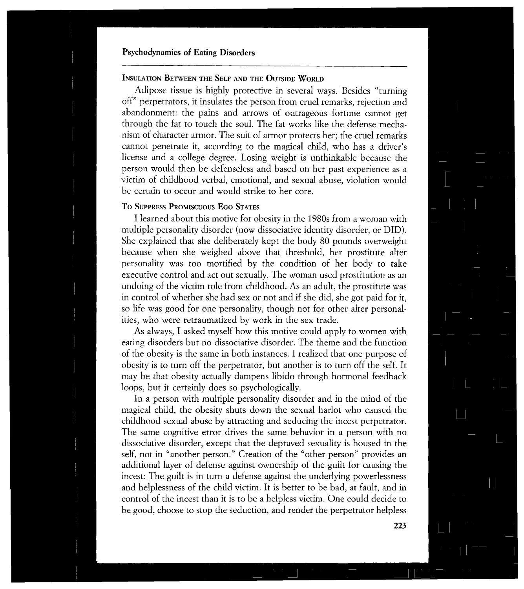## **INSULATION BETWEEN THE SELF AND THE OUTSIDE WORLD**

Adipose tissue is highly protective in several ways. Besides "turning off" perpetrators, it insulates the person from cruel remarks, rejection and abandonment: the pains and arrows of outrageous fortune cannot get through the fat to touch the soul. The fat works like the defense mechanism of character armor. The suit of armor protects her; the cruel remarks cannot penetrate it, according to the magical child, who has a driver's license and a college degree. Losing weight is unthinkable because the person would then be defenseless and based on her past experience as a victim of childhood verbal, emotional, and sexual abuse, violation would be certain to occur and would strike to her core.

### **To SUPPRESS PROMISCUOUS EGO STATES**

I learned about this motive for obesity in the 1980s from a woman with multiple personality disorder (now dissociative identity disorder, or DID). She explained that she deliberately kept the body 80 pounds overweight because when she weighed above that threshold, her prostitute alter personality was too mortified by the condition of her body to take executive control and act out sexually. The woman used prostitution as an undoing of the victim role from childhood. As an adult, the prostitute was in control of whether she had sex or not and if she did, she got paid for it, so life was good for one personality, though not for other alter personalities, who were retraumatized by work in the sex trade.

As always, I asked myself how this motive could apply to women with eating disorders but no dissociative disorder. The theme and the function of the obesity is the same in both instances. I realized that one purpose of obesity is to turn off the perpetrator, but another is to turn off the self. It may be that obesity actually dampens libido through hormonal feedback loops, but it certainly does so psychologically.

In a person with multiple personality disorder and in the mind of the magical child, the obesity shuts down the sexual harlot who caused the childhood sexual abuse by attracting and seducing the incest perpetrator. The same cognitive error drives the same behavior in a person with no dissociative disorder, except that the depraved sexuality is housed in the self, not in "another person." Creation of the "other person" provides an additional layer of defense against ownership of the guilt for causing the incest: The guilt is in turn a defense against the underlying powerlessness and helplessness of the child victim. It is better to be bad, at fault, and in control of the incest than it is to be a helpless victim. One could decide to be good, choose to stop the seduction, and render the perpetrator helpless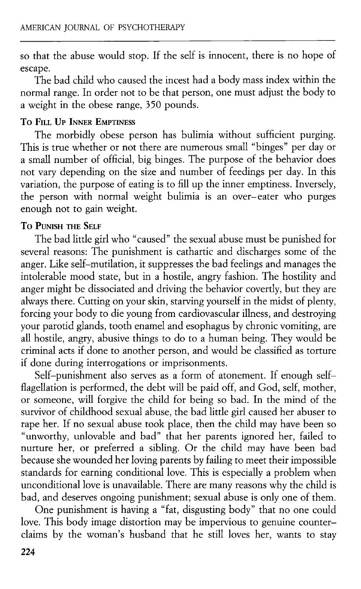so that the abuse would stop. If the self is innocent, there is no hope of escape.

The bad child who caused the incest had a body mass index within the normal range. In order not to be that person, one must adjust the body to a weight in the obese range, 350 pounds.

#### **To FILL UP INNER EMPTINESS**

The morbidly obese person has bulimia without sufficient purging. This is true whether or not there are numerous small "binges" per day or a small number of official, big binges. The purpose of the behavior does not vary depending on the size and number of feedings per day. In this variation, the purpose of eating is to fill up the inner emptiness. Inversely, the person with normal weight bulimia is an over-eater who purges enough not to gain weight.

#### **To PUNISH THE SELF**

The bad little girl who "caused" the sexual abuse must be punished for several reasons: The punishment is cathartic and discharges some of the anger. Like self-mutilation, it suppresses the bad feelings and manages the intolerable mood state, but in a hostile, angry fashion. The hostility and anger might be dissociated and driving the behavior covertly, but they are always there. Cutting on your skin, starving yourself in the midst of plenty, forcing your body to die young from cardiovascular illness, and destroying your parotid glands, tooth enamel and esophagus by chronic vomiting, are all hostile, angry, abusive things to do to a human being. They would be criminal acts if done to another person, and would be classified as torture if done during interrogations or imprisonments.

Self-punishment also serves as a form of atonement. If enough selfflagellation is performed, the debt will be paid off, and God, self, mother, or someone, will forgive the child for being so bad. In the mind of the survivor of childhood sexual abuse, the bad little girl caused her abuser to rape her. If no sexual abuse took place, then the child may have been so "unworthy, unlovable and bad" that her parents ignored her, failed to nurture her, or preferred a sibling. Or the child may have been bad because she wounded her loving parents by failing to meet their impossible standards for earning conditional love. This is especially a problem when unconditional love is unavailable. There are many reasons why the child is bad, and deserves ongoing punishment; sexual abuse is only one of them.

One punishment is having a "fat, disgusting body" that no one could love. This body image distortion may be impervious to genuine counterclaims by the woman's husband that he still loves her, wants to stay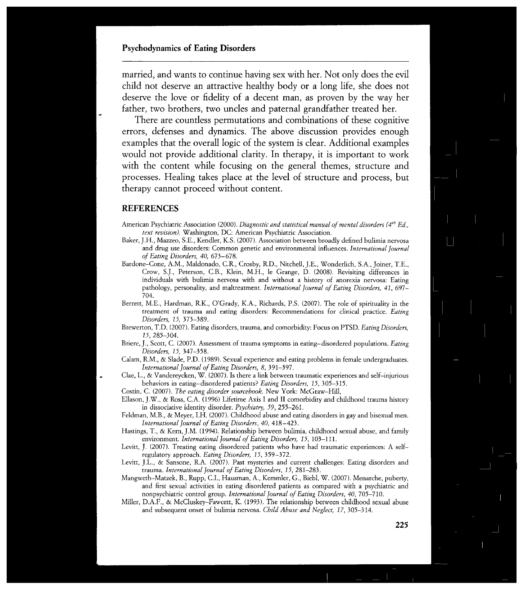married, and wants to continue having sex with her. Not only does the evil child not deserve an attractive healthy body or a long life, she does not deserve the love or fidelity of a decent man, as proven by the way her father, two brothers, two uncles and paternal grandfather treated her.

There are countless permutations and combinations of these cognitive errors, defenses and dynamics. The above discussion provides enough examples that the overall logic of the system is clear. Additional examples would not provide additional clarity. In therapy, it is important to work with the content while focusing on the general themes, structure and processes. Healing takes place at the level of structure and process, but therapy cannot proceed without content.

#### **REFERENCES**

- American Psychiatric Association (2000). *Diagnostic and statistical manual of mental disorders (4th Ed., text revision).* Washington, DC: American Psychiatric Association.
- Baker, J.H., Mazzeo, S.E., Kendler, K.S. (2007). Association between broadly defined bulimia nervosa and drug use disorders: Common genetic and environmental influences. *International Journal of Eating Disorders, 40,* 673-678.
- Bardone-Cone, A.M., Maldonado, C.R., Crosby, R.D., Nitchell, J.E., Wonderlich, S.A., Joiner, T.E., Crow, S.J., Peterson, C.B., Klein, M.H., le Grange, D. (2008). Revisiting differences in individuals with bulimia nervosa with and without a history of anorexia nervosa: Eating pathology, personality, and maltreatment. *International Journal of Eating Disorders, 41,* 697¬ 704.
- Berrett, M.E., Hardman, R.K., O'Grady, K.A., Richards, P.S. (2007). The role of spirituality in the treatment of trauma and eating disorders: Recommendations for clinical practice. *Eating Disorders, 15,*
- Brewerton, T.D. (2007). Eating disorders, trauma, and comorbidity: Focus on PTSD. *Eating Disorders, 15,* 285-304.
- Briere, J., Scott, C. (2007). Assessment of trauma symptoms in eating-disordered populations. *Eating Disorders, 15,* 347-358.
- Calam, R.M., & Slade, P.D. (1989). Sexual experience and eating problems in female undergraduates. *International journal of Eating Disorders, 8,* 391-397.
- Clae, L., & Vandereycken, W. (2007). Is there a link between traumatic experiences and self-injurious behaviors in eating-disordered patients? *Eating Disorders, 15,* 305-315.
- Costin, C. (2007). *The eating disorder sourcebook.* New York: McGraw-Hill,
- Ellason, J.W., & Ross, C.A. (1996) Lifetime Axis I and II comorbidity and childhood trauma history in dissociative identity disorder. *Psychiatry, 59,* 255-261.
- Feldman, M.B., & Meyer, LH. (2007). Childhood abuse and eating disorders in gay and bisexual men. *International Journal of Eating Disorders, 40,* 418-423.
- Hastings, T., & Kern, J.M. (1994). Relationship between bulimia, childhood sexual abuse, and family environment. *International Journal of Eating Disorders, 15,* 103-111.
- Levitt, J. (2007). Treating eating disordered patients who have had traumatic experiences: A selfregulatory approach. *Eating Disorders, 15,* 359-372.
- Levitt, J.L., & Sansone, R.A. (2007). Past mysteries and current challenges: Eating disorders and trauma. *International Journal of Eating Disorders, 15,* 281-283.
- Mangweth-Matzek, B., Rupp, C.I., Hausman, A., Kemmler, G., Biebl, W. (2007). Menarche, puberty, and first sexual activities in eating disordered patients as compared with a psychiatric and nonpsychiatric control group. *International Journal of Eating Disorders, 40,* 705-710.
- Miller, D.A.F., & McCluskey-Fawcett, K. (1993). The relationship between childhood sexual abuse and subsequent onset of bulimia nervosa. *Child Abuse and Neglect, 17,* 305-314.